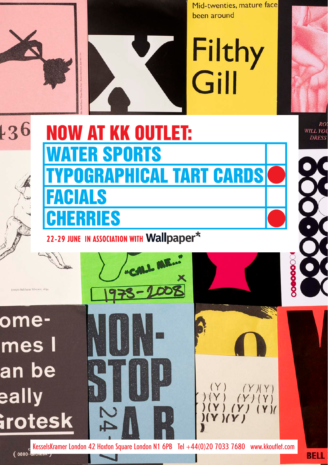